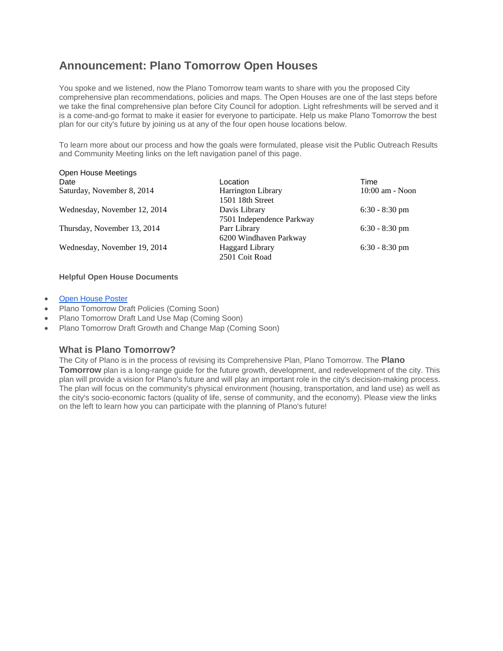## **Announcement: Plano Tomorrow Open Houses**

You spoke and we listened, now the Plano Tomorrow team wants to share with you the proposed City comprehensive plan recommendations, policies and maps. The Open Houses are one of the last steps before we take the final comprehensive plan before City Council for adoption. Light refreshments will be served and it is a come-and-go format to make it easier for everyone to participate. Help us make Plano Tomorrow the best plan for our city's future by joining us at any of the four open house locations below.

To learn more about our process and how the goals were formulated, please visit the Public Outreach Results and Community Meeting links on the left navigation panel of this page.

| Open nouse meetings          |                           |                   |
|------------------------------|---------------------------|-------------------|
| Date                         | Location                  | Time              |
| Saturday, November 8, 2014   | <b>Harrington Library</b> | $10:00$ am - Noon |
|                              | 1501 18th Street          |                   |
| Wednesday, November 12, 2014 | Davis Library             | $6:30 - 8:30$ pm  |
|                              | 7501 Independence Parkway |                   |
| Thursday, November 13, 2014  | Parr Library              | $6:30 - 8:30$ pm  |
|                              | 6200 Windhaven Parkway    |                   |
| Wednesday, November 19, 2014 | <b>Haggard Library</b>    | $6:30 - 8:30$ pm  |
|                              | 2501 Coit Road            |                   |
|                              |                           |                   |

#### **Helpful Open House Documents**

**[Open House Poster](http://www.plano.gov/DocumentCenter/View/10978)** 

Open House Meetings

- Plano Tomorrow Draft Policies (Coming Soon)
- Plano Tomorrow Draft Land Use Map (Coming Soon)
- Plano Tomorrow Draft Growth and Change Map (Coming Soon)

#### **What is Plano Tomorrow?**

The City of Plano is in the process of revising its Comprehensive Plan, Plano Tomorrow. The **Plano Tomorrow** plan is a long-range guide for the future growth, development, and redevelopment of the city. This plan will provide a vision for Plano's future and will play an important role in the city's decision-making process. The plan will focus on the community's physical environment (housing, transportation, and land use) as well as the city's socio-economic factors (quality of life, sense of community, and the economy). Please view the links on the left to learn how you can participate with the planning of Plano's future!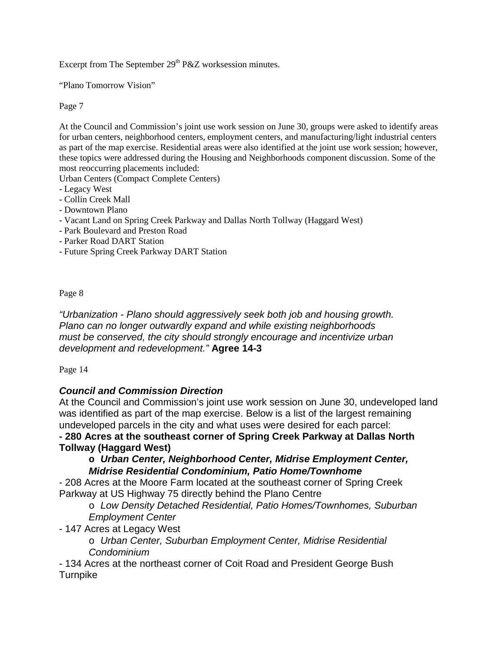Excerpt from The September  $29<sup>th</sup> P&Z$  worksession minutes.

"Plano Tomorrow Vision"

Page 7

At the Council and Commission's joint use work session on June 30, groups were asked to identify areas for urban centers, neighborhood centers, employment centers, and manufacturing/light industrial centers as part of the map exercise. Residential areas were also identified at the joint use work session; however, these topics were addressed during the Housing and Neighborhoods component discussion. Some of the most reoccurring placements included:

Urban Centers (Compact Complete Centers)

- Legacy West
- Collin Creek Mall
- Downtown Plano
- Vacant Land on Spring Creek Parkway and Dallas North Tollway (Haggard West)
- Park Boulevard and Preston Road
- Parker Road DART Station
- Future Spring Creek Parkway DART Station

Page 8

*"Urbanization - Plano should aggressively seek both job and housing growth. Plano can no longer outwardly expand and while existing neighborhoods must be conserved, the city should strongly encourage and incentivize urban development and redevelopment."* **Agree 14-3**

Page 14

## *Council and Commission Direction*

At the Council and Commission's joint use work session on June 30, undeveloped land was identified as part of the map exercise. Below is a list of the largest remaining undeveloped parcels in the city and what uses were desired for each parcel: **- 280 Acres at the southeast corner of Spring Creek Parkway at Dallas North**

# **Tollway (Haggard West)**

## **o** *Urban Center, Neighborhood Center, Midrise Employment Center, Midrise Residential Condominium, Patio Home/Townhome*

- 208 Acres at the Moore Farm located at the southeast corner of Spring Creek Parkway at US Highway 75 directly behind the Plano Centre

o *Low Density Detached Residential, Patio Homes/Townhomes, Suburban Employment Center*

- 147 Acres at Legacy West
	- o *Urban Center, Suburban Employment Center, Midrise Residential Condominium*

- 134 Acres at the northeast corner of Coit Road and President George Bush Turnpike